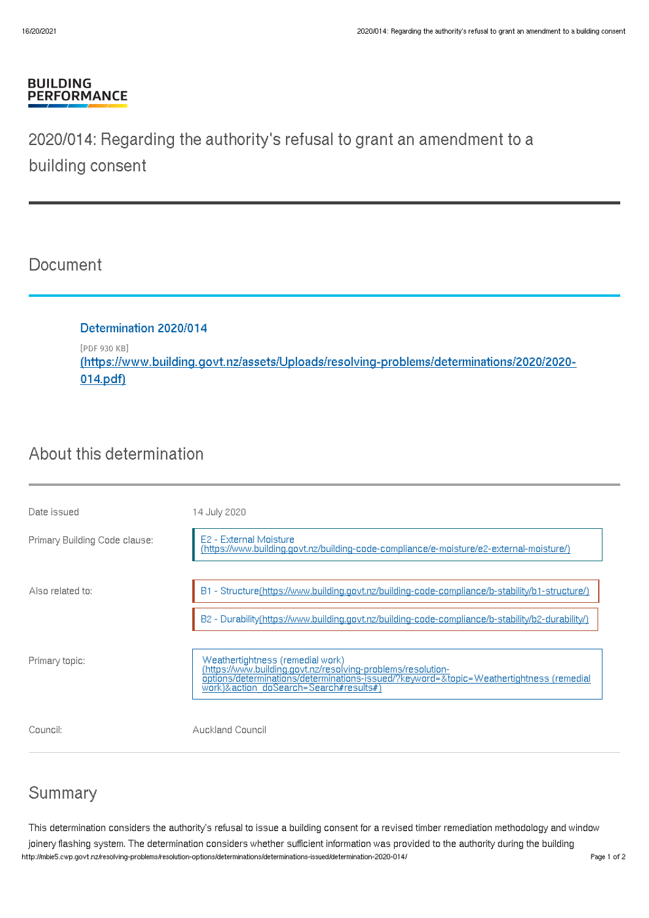#### **BUILDING PERFORMANCE**

# 2020/014: Regarding the authority's refusal to grant an amendment to a building consent

### Document

Determination 2020/014 [PDF 930 KB] (https://www.building.govt.nz/assets/Uploads/resolving-problems/determinations/2020/2020- [014.pdf\)](http://mbie5.cwp.govt.nz/assets/Uploads/resolving-problems/determinations/2020/2020-014.pdf)

# About this determination

| Date issued                   | 14 July 2020                                                                                                                                                                                                                          |
|-------------------------------|---------------------------------------------------------------------------------------------------------------------------------------------------------------------------------------------------------------------------------------|
| Primary Building Code clause: | E2 - External Moisture<br>(https://www.building.govt.nz/building-code-compliance/e-moisture/e2-external-moisture/)                                                                                                                    |
| Also related to:              | B1 - Structure(https://www.building.govt.nz/building-code-compliance/b-stability/b1-structure/)                                                                                                                                       |
|                               | B2 - Durability(https://www.building.govt.nz/building-code-compliance/b-stability/b2-durability/)                                                                                                                                     |
| Primary topic:                | Weathertightness (remedial work)<br>(https://www.building.govt.nz/resolving-problems/resolution-<br>options/determinations/determinations-issued/?keyword=&topic=Weathertightness (remedial<br>work)&action_doSearch=Search#results#) |
| Council:                      | Auckland Council                                                                                                                                                                                                                      |

## Summary

This determination considers the authority's refusal to issue a building consent for a revised timber remediation methodology and window joinery flashing system. The determination considers whether sufficient information was provided to the authority during the building http://mbie5.cwp.govt.nz/resolving-problems/resolution-options/determinations/determinations-issued/determination-2020-014/ Page 1 of 2